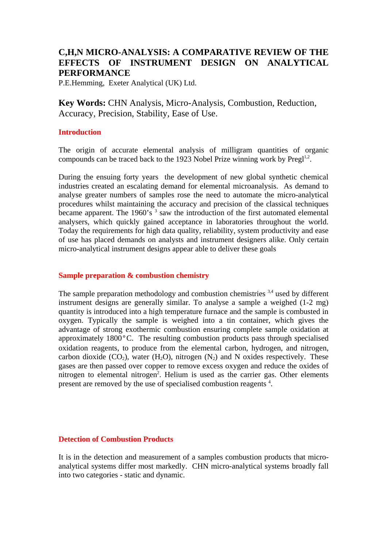# **C,H,N MICRO-ANALYSIS: A COMPARATIVE REVIEW OF THE EFFECTS OF INSTRUMENT DESIGN ON ANALYTICAL PERFORMANCE**

P.E.Hemming, Exeter Analytical (UK) Ltd.

**Key Words:** CHN Analysis, Micro-Analysis, Combustion, Reduction, Accuracy, Precision, Stability, Ease of Use.

# **Introduction**

The origin of accurate elemental analysis of milligram quantities of organic compounds can be traced back to the 1923 Nobel Prize winning work by  $Pregl<sup>1,2</sup>$ .

During the ensuing forty years the development of new global synthetic chemical industries created an escalating demand for elemental microanalysis. As demand to analyse greater numbers of samples rose the need to automate the micro-analytical procedures whilst maintaining the accuracy and precision of the classical techniques became apparent. The 1960's  $3$  saw the introduction of the first automated elemental analysers, which quickly gained acceptance in laboratories throughout the world. Today the requirements for high data quality, reliability, system productivity and ease of use has placed demands on analysts and instrument designers alike. Only certain micro-analytical instrument designs appear able to deliver these goals

### **Sample preparation & combustion chemistry**

The sample preparation methodology and combustion chemistries <sup>3,4</sup> used by different instrument designs are generally similar. To analyse a sample a weighed (1-2 mg) quantity is introduced into a high temperature furnace and the sample is combusted in oxygen. Typically the sample is weighed into a tin container, which gives the advantage of strong exothermic combustion ensuring complete sample oxidation at approximately 1800°C. The resulting combustion products pass through specialised oxidation reagents, to produce from the elemental carbon, hydrogen, and nitrogen, carbon dioxide  $(CO_2)$ , water  $(H_2O)$ , nitrogen  $(N_2)$  and N oxides respectively. These gases are then passed over copper to remove excess oxygen and reduce the oxides of nitrogen to elemental nitrogen<sup>2</sup>. Helium is used as the carrier gas. Other elements present are removed by the use of specialised combustion reagents<sup>4</sup>.

### **Detection of Combustion Products**

It is in the detection and measurement of a samples combustion products that microanalytical systems differ most markedly. CHN micro-analytical systems broadly fall into two categories - static and dynamic.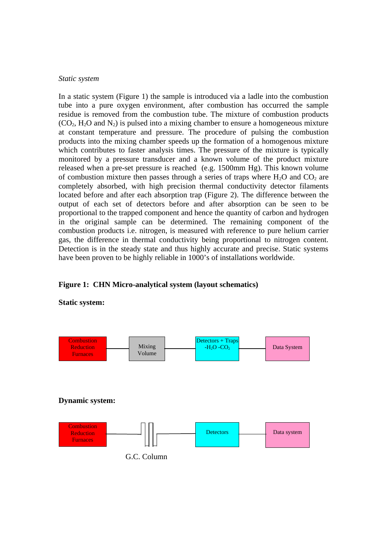#### *Static system*

In a static system (Figure 1) the sample is introduced via a ladle into the combustion tube into a pure oxygen environment, after combustion has occurred the sample residue is removed from the combustion tube. The mixture of combustion products  $(CO<sub>2</sub>, H<sub>2</sub>O$  and  $N<sub>2</sub>$ ) is pulsed into a mixing chamber to ensure a homogeneous mixture at constant temperature and pressure. The procedure of pulsing the combustion products into the mixing chamber speeds up the formation of a homogenous mixture which contributes to faster analysis times. The pressure of the mixture is typically monitored by a pressure transducer and a known volume of the product mixture released when a pre-set pressure is reached (e.g. 1500mm Hg). This known volume of combustion mixture then passes through a series of traps where  $H_2O$  and  $CO_2$  are completely absorbed, with high precision thermal conductivity detector filaments located before and after each absorption trap (Figure 2). The difference between the output of each set of detectors before and after absorption can be seen to be proportional to the trapped component and hence the quantity of carbon and hydrogen in the original sample can be determined. The remaining component of the combustion products i.e. nitrogen, is measured with reference to pure helium carrier gas, the difference in thermal conductivity being proportional to nitrogen content. Detection is in the steady state and thus highly accurate and precise. Static systems have been proven to be highly reliable in 1000's of installations worldwide.

# **Figure 1: CHN Micro-analytical system (layout schematics)**





G.C. Column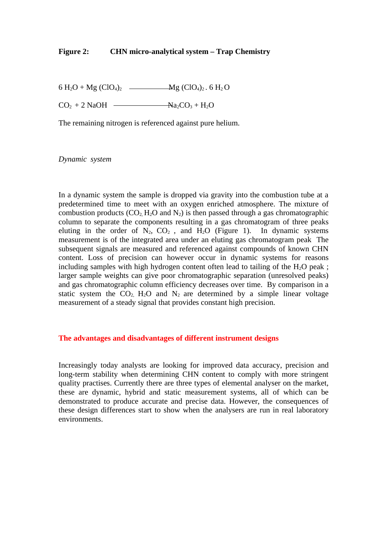# **Figure 2: CHN micro-analytical system – Trap Chemistry**

6 H<sub>2</sub>O + Mg (ClO<sub>4</sub>)<sub>2</sub> - Mg (ClO<sub>4</sub>)<sub>2</sub> . 6 H<sub>2</sub>O

 $CO<sub>2</sub> + 2$  NaOH  $\longrightarrow$  Na<sub>2</sub>CO<sub>3</sub> + H<sub>2</sub>O

The remaining nitrogen is referenced against pure helium.

*Dynamic system*

In a dynamic system the sample is dropped via gravity into the combustion tube at a predetermined time to meet with an oxygen enriched atmosphere. The mixture of combustion products  $(CO_2, H_2O$  and  $N_2$ ) is then passed through a gas chromatographic column to separate the components resulting in a gas chromatogram of three peaks eluting in the order of  $N_2$ ,  $CO_2$ , and  $H_2O$  (Figure 1). In dynamic systems measurement is of the integrated area under an eluting gas chromatogram peak The subsequent signals are measured and referenced against compounds of known CHN content. Loss of precision can however occur in dynamic systems for reasons including samples with high hydrogen content often lead to tailing of the  $H_2O$  peak; larger sample weights can give poor chromatographic separation (unresolved peaks) and gas chromatographic column efficiency decreases over time. By comparison in a static system the  $CO_2$ ,  $H_2O$  and  $N_2$  are determined by a simple linear voltage measurement of a steady signal that provides constant high precision.

# **The advantages and disadvantages of different instrument designs**

Increasingly today analysts are looking for improved data accuracy, precision and long-term stability when determining CHN content to comply with more stringent quality practises. Currently there are three types of elemental analyser on the market, these are dynamic, hybrid and static measurement systems, all of which can be demonstrated to produce accurate and precise data. However, the consequences of these design differences start to show when the analysers are run in real laboratory environments.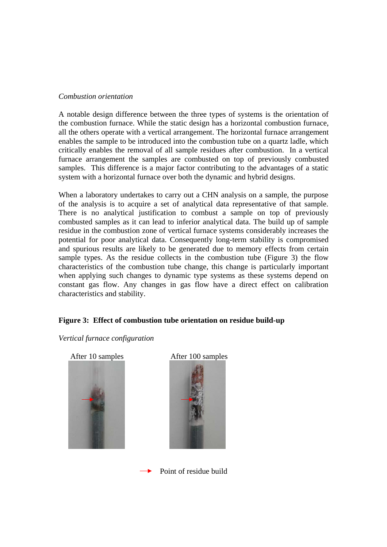### *Combustion orientation*

A notable design difference between the three types of systems is the orientation of the combustion furnace. While the static design has a horizontal combustion furnace, all the others operate with a vertical arrangement. The horizontal furnace arrangement enables the sample to be introduced into the combustion tube on a quartz ladle, which critically enables the removal of all sample residues after combustion. In a vertical furnace arrangement the samples are combusted on top of previously combusted samples. This difference is a major factor contributing to the advantages of a static system with a horizontal furnace over both the dynamic and hybrid designs.

When a laboratory undertakes to carry out a CHN analysis on a sample, the purpose of the analysis is to acquire a set of analytical data representative of that sample. There is no analytical justification to combust a sample on top of previously combusted samples as it can lead to inferior analytical data. The build up of sample residue in the combustion zone of vertical furnace systems considerably increases the potential for poor analytical data. Consequently long-term stability is compromised and spurious results are likely to be generated due to memory effects from certain sample types. As the residue collects in the combustion tube (Figure 3) the flow characteristics of the combustion tube change, this change is particularly important when applying such changes to dynamic type systems as these systems depend on constant gas flow. Any changes in gas flow have a direct effect on calibration characteristics and stability.

# **Figure 3: Effect of combustion tube orientation on residue build-up**

# *Vertical furnace configuration*





Point of residue build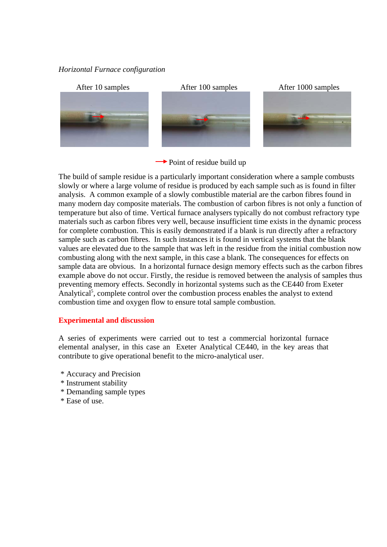# *Horizontal Furnace configuration*



 $\rightarrow$  Point of residue build up

The build of sample residue is a particularly important consideration where a sample combusts slowly or where a large volume of residue is produced by each sample such as is found in filter analysis. A common example of a slowly combustible material are the carbon fibres found in many modern day composite materials. The combustion of carbon fibres is not only a function of temperature but also of time. Vertical furnace analysers typically do not combust refractory type materials such as carbon fibres very well, because insufficient time exists in the dynamic process for complete combustion. This is easily demonstrated if a blank is run directly after a refractory sample such as carbon fibres. In such instances it is found in vertical systems that the blank values are elevated due to the sample that was left in the residue from the initial combustion now combusting along with the next sample, in this case a blank. The consequences for effects on sample data are obvious. In a horizontal furnace design memory effects such as the carbon fibres example above do not occur. Firstly, the residue is removed between the analysis of samples thus preventing memory effects. Secondly in horizontal systems such as the CE440 from Exeter Analytical<sup>5</sup>, complete control over the combustion process enables the analyst to extend combustion time and oxygen flow to ensure total sample combustion.

#### **Experimental and discussion**

A series of experiments were carried out to test a commercial horizontal furnace elemental analyser, in this case an Exeter Analytical CE440, in the key areas that contribute to give operational benefit to the micro-analytical user.

- \* Accuracy and Precision
- \* Instrument stability
- \* Demanding sample types
- \* Ease of use.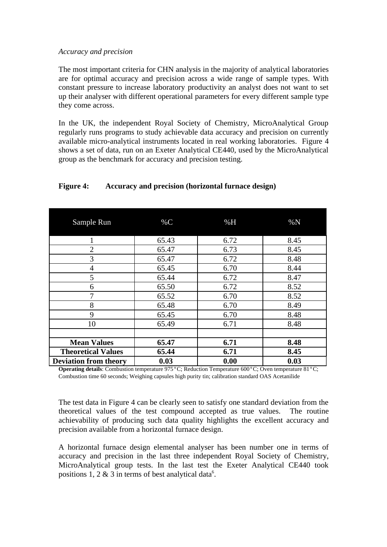# *Accuracy and precision*

The most important criteria for CHN analysis in the majority of analytical laboratories are for optimal accuracy and precision across a wide range of sample types. With constant pressure to increase laboratory productivity an analyst does not want to set up their analyser with different operational parameters for every different sample type they come across.

In the UK, the independent Royal Society of Chemistry, MicroAnalytical Group regularly runs programs to study achievable data accuracy and precision on currently available micro-analytical instruments located in real working laboratories. Figure 4 shows a set of data, run on an Exeter Analytical CE440, used by the MicroAnalytical group as the benchmark for accuracy and precision testing.

| Sample Run                   | $\%C$ | %H   | $\%N$ |
|------------------------------|-------|------|-------|
|                              | 65.43 | 6.72 | 8.45  |
| $\overline{2}$               | 65.47 | 6.73 | 8.45  |
| 3                            | 65.47 | 6.72 | 8.48  |
| 4                            | 65.45 | 6.70 | 8.44  |
| 5                            | 65.44 | 6.72 | 8.47  |
| 6                            | 65.50 | 6.72 | 8.52  |
| $\overline{7}$               | 65.52 | 6.70 | 8.52  |
| 8                            | 65.48 | 6.70 | 8.49  |
| 9                            | 65.45 | 6.70 | 8.48  |
| 10                           | 65.49 | 6.71 | 8.48  |
|                              |       |      |       |
| <b>Mean Values</b>           | 65.47 | 6.71 | 8.48  |
| <b>Theoretical Values</b>    | 65.44 | 6.71 | 8.45  |
| <b>Deviation from theory</b> | 0.03  | 0.00 | 0.03  |

# **Figure 4: Accuracy and precision (horizontal furnace design)**

**Operating details**: Combustion temperature 975°C; Reduction Temperature 600°C; Oven temperature 81°C; Combustion time 60 seconds; Weighing capsules high purity tin; calibration standard OAS Acetanilide

The test data in Figure 4 can be clearly seen to satisfy one standard deviation from the theoretical values of the test compound accepted as true values. The routine achievability of producing such data quality highlights the excellent accuracy and precision available from a horizontal furnace design.

A horizontal furnace design elemental analyser has been number one in terms of accuracy and precision in the last three independent Royal Society of Chemistry, MicroAnalytical group tests. In the last test the Exeter Analytical CE440 took positions 1, 2  $\&$  3 in terms of best analytical data<sup>6</sup>.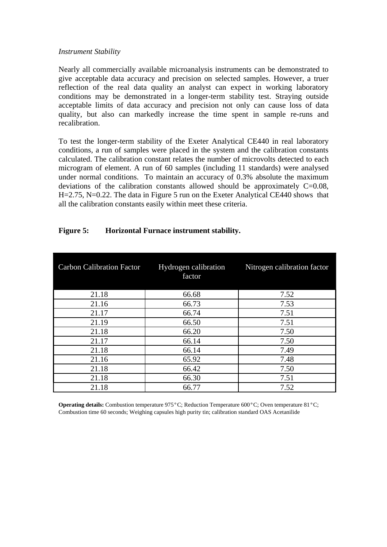#### *Instrument Stability*

Nearly all commercially available microanalysis instruments can be demonstrated to give acceptable data accuracy and precision on selected samples. However, a truer reflection of the real data quality an analyst can expect in working laboratory conditions may be demonstrated in a longer-term stability test. Straying outside acceptable limits of data accuracy and precision not only can cause loss of data quality, but also can markedly increase the time spent in sample re-runs and recalibration.

To test the longer-term stability of the Exeter Analytical CE440 in real laboratory conditions, a run of samples were placed in the system and the calibration constants calculated. The calibration constant relates the number of microvolts detected to each microgram of element. A run of 60 samples (including 11 standards) were analysed under normal conditions. To maintain an accuracy of 0.3% absolute the maximum deviations of the calibration constants allowed should be approximately C=0.08, H=2.75, N=0.22. The data in Figure 5 run on the Exeter Analytical CE440 shows that all the calibration constants easily within meet these criteria.

| <b>Carbon Calibration Factor</b> | Hydrogen calibration<br>factor | Nitrogen calibration factor |
|----------------------------------|--------------------------------|-----------------------------|
| 21.18                            | 66.68                          | 7.52                        |
| 21.16                            | 66.73                          | 7.53                        |
| 21.17                            | 66.74                          | 7.51                        |
| 21.19                            | 66.50                          | 7.51                        |
| 21.18                            | 66.20                          | 7.50                        |
| 21.17                            | 66.14                          | 7.50                        |
| 21.18                            | 66.14                          | 7.49                        |
| 21.16                            | 65.92                          | 7.48                        |
| 21.18                            | 66.42                          | 7.50                        |
| 21.18                            | 66.30                          | 7.51                        |
| 21.18                            | 66.77                          | 7.52                        |

# **Figure 5: Horizontal Furnace instrument stability.**

**Operating details:** Combustion temperature 975°C; Reduction Temperature 600°C; Oven temperature 81°C; Combustion time 60 seconds; Weighing capsules high purity tin; calibration standard OAS Acetanilide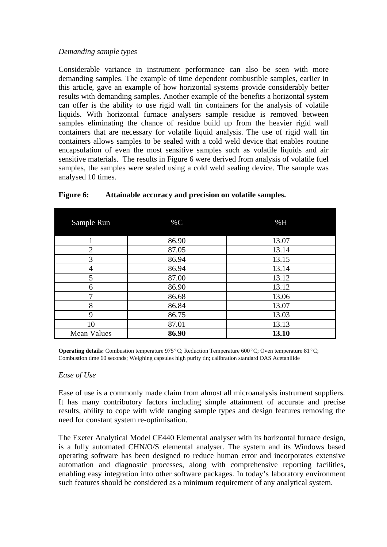# *Demanding sample types*

Considerable variance in instrument performance can also be seen with more demanding samples. The example of time dependent combustible samples, earlier in this article, gave an example of how horizontal systems provide considerably better results with demanding samples. Another example of the benefits a horizontal system can offer is the ability to use rigid wall tin containers for the analysis of volatile liquids. With horizontal furnace analysers sample residue is removed between samples eliminating the chance of residue build up from the heavier rigid wall containers that are necessary for volatile liquid analysis. The use of rigid wall tin containers allows samples to be sealed with a cold weld device that enables routine encapsulation of even the most sensitive samples such as volatile liquids and air sensitive materials. The results in Figure 6 were derived from analysis of volatile fuel samples, the samples were sealed using a cold weld sealing device. The sample was analysed 10 times.

| Sample Run         | $\%C$ | %H    |
|--------------------|-------|-------|
|                    | 86.90 | 13.07 |
| $\overline{2}$     | 87.05 | 13.14 |
| 3                  | 86.94 | 13.15 |
| 4                  | 86.94 | 13.14 |
| 5                  | 87.00 | 13.12 |
| 6                  | 86.90 | 13.12 |
| 7                  | 86.68 | 13.06 |
| 8                  | 86.84 | 13.07 |
| 9                  | 86.75 | 13.03 |
| 10                 | 87.01 | 13.13 |
| <b>Mean Values</b> | 86.90 | 13.10 |

# **Figure 6: Attainable accuracy and precision on volatile samples.**

**Operating details:** Combustion temperature 975°C; Reduction Temperature 600°C; Oven temperature 81°C; Combustion time 60 seconds; Weighing capsules high purity tin; calibration standard OAS Acetanilide

# *Ease of Use*

Ease of use is a commonly made claim from almost all microanalysis instrument suppliers. It has many contributory factors including simple attainment of accurate and precise results, ability to cope with wide ranging sample types and design features removing the need for constant system re-optimisation.

The Exeter Analytical Model CE440 Elemental analyser with its horizontal furnace design, is a fully automated CHN/O/S elemental analyser. The system and its Windows based operating software has been designed to reduce human error and incorporates extensive automation and diagnostic processes, along with comprehensive reporting facilities, enabling easy integration into other software packages. In today's laboratory environment such features should be considered as a minimum requirement of any analytical system.